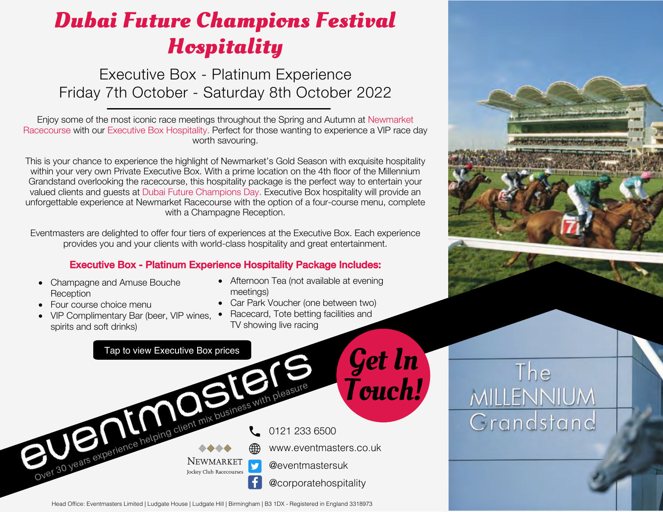Executive Box - Platinum Experience Friday 7th October - Saturday 8th October 2022

Enjoy some of the most iconic race meetings throughout the Spring and Autumn at Newmarket Racecourse with our Executive Box Hospitality. Perfect for those wanting to experience a VIP race day worth savouring.

This is your chance to experience the highlight of Newmarket's Gold Season with exquisite hospitality within your very own Private Executive Box. With a prime location on the 4th floor of the Millennium Grandstand overlooking the racecourse, this hospitality package is the perfect way to entertain your valued clients and guests at Dubai Future Champions Day. Executive Box hospitality will provide an unforgettable experience at Newmarket Racecourse with the option of a four-course menu, complete with a Champagne Reception.

Eventmasters are delighted to offer four tiers of experiences at the Executive Box. Each experience provides you and your clients with world-class hospitality and great entertainment.

### Executive Box - Platinum Experience Hospitality Package Includes:

- Champagne and Amuse Bouche **Reception**
- Four course choice menu
- VIP Complimentary Bar (beer, VIP wines, spirits and soft drinks)
- Afternoon Tea (not available at evening meetings)
- Car Park Voucher (one between two)
- Racecard, Tote betting facilities and TV showing live racing



Head Office: Eventmasters Limited | Ludgate House | Ludgate Hill | Birmingham | B3 1DX - Registered in England 3318973

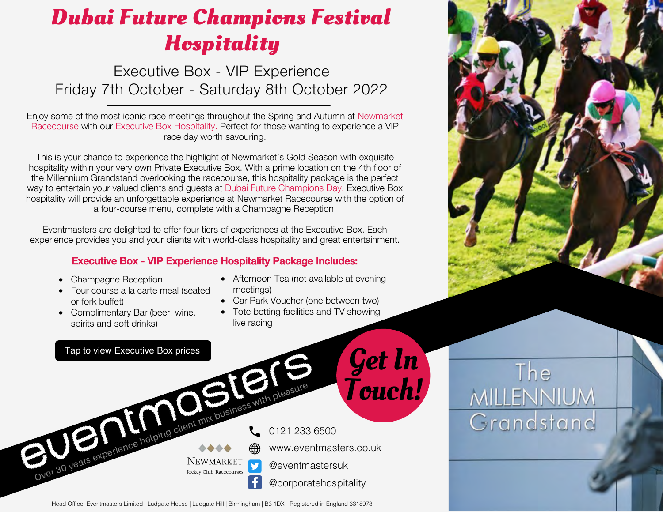Executive Box - VIP Experience Friday 7th October - Saturday 8th October 2022

Enjoy some of the most iconic race meetings throughout the Spring and Autumn at Newmarket Racecourse with our Executive Box Hospitality. Perfect for those wanting to experience a VIP race day worth savouring.

This is your chance to experience the highlight of Newmarket's Gold Season with exquisite hospitality within your very own Private Executive Box. With a prime location on the 4th floor of the Millennium Grandstand overlooking the racecourse, this hospitality package is the perfect way to entertain your valued clients and guests at Dubai Future Champions Day. Executive Box hospitality will provide an unforgettable experience at Newmarket Racecourse with the option of a four-course menu, complete with a Champagne Reception.

Eventmasters are delighted to offer four tiers of experiences at the Executive Box. Each experience provides you and your clients with world-class hospitality and great entertainment.

#### Executive Box - VIP Experience Hospitality Package Includes:

- Champagne Reception
- Four course a la carte meal (seated or fork buffet)
- Complimentary Bar (beer, wine, spirits and soft drinks)
- Afternoon Tea (not available at evening meetings)
- Car Park Voucher (one between two)
- Tote betting facilities and TV showing live racing







The

**MILLENNIUM** 

Grandstand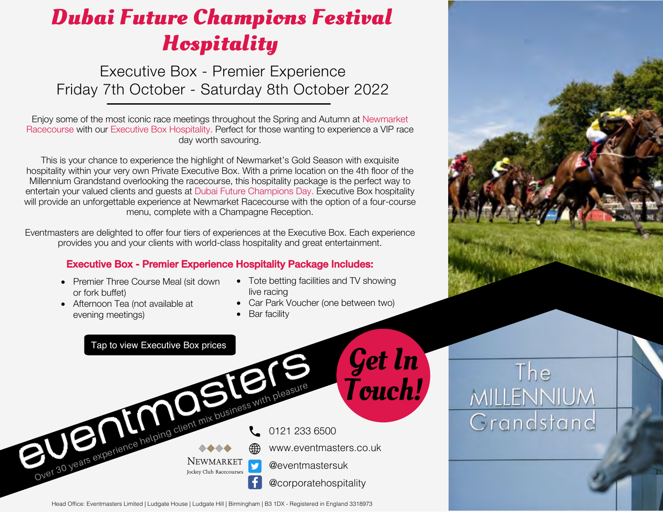Executive Box - Premier Experience Friday 7th October - Saturday 8th October 2022

Enjoy some of the most iconic race meetings throughout the Spring and Autumn at Newmarket Racecourse with our Executive Box Hospitality. Perfect for those wanting to experience a VIP race day worth savouring.

This is your chance to experience the highlight of Newmarket's Gold Season with exquisite hospitality within your very own Private Executive Box. With a prime location on the 4th floor of the Millennium Grandstand overlooking the racecourse, this hospitality package is the perfect way to entertain your valued clients and guests at Dubai Future Champions Day. Executive Box hospitality will provide an unforgettable experience at Newmarket Racecourse with the option of a four-course menu, complete with a Champagne Reception.

Eventmasters are delighted to offer four tiers of experiences at the Executive Box. Each experience provides you and your clients with world-class hospitality and great entertainment.

#### Executive Box - Premier Experience Hospitality Package Includes:

- Premier Three Course Meal (sit down or fork buffet)
- Afternoon Tea (not available at evening meetings)
- Tote betting facilities and TV showing live racing
- Car Park Voucher (one between two)
- Bar facility